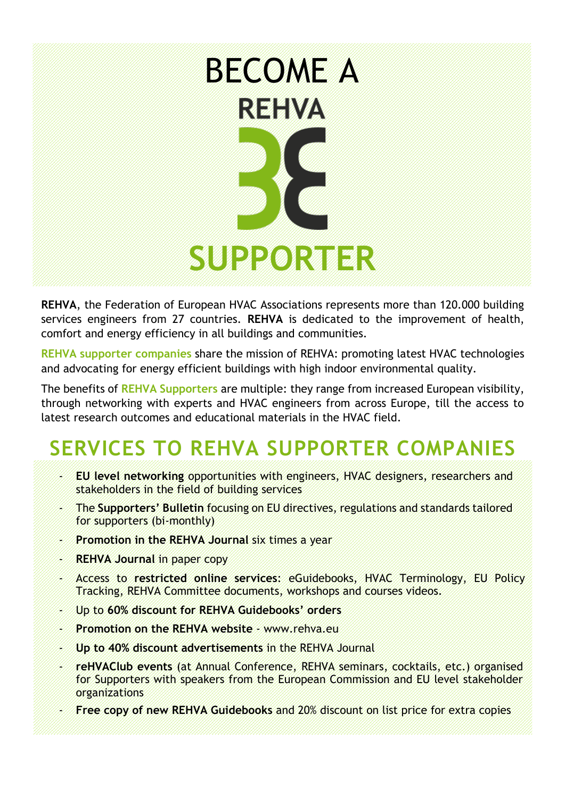# BECOME A **REHVA SUPPORTER**

**REHVA**, the Federation of European HVAC Associations represents more than 120.000 building services engineers from 27 countries. **REHVA** is dedicated to the improvement of health, comfort and energy efficiency in all buildings and communities.

**REHVA supporter companies** share the mission of REHVA: promoting latest HVAC technologies and advocating for energy efficient buildings with high indoor environmental quality.

The benefits of **REHVA Supporters** are multiple: they range from increased European visibility, through networking with experts and HVAC engineers from across Europe, till the access to latest research outcomes and educational materials in the HVAC field.

## **SERVICES TO REHVA SUPPORTER COMPANIES**

- **EU level networking** opportunities with engineers, HVAC designers, researchers and stakeholders in the field of building services
- The **Supporters' Bulletin** focusing on EU directives, regulations and standards tailored for supporters (bi-monthly)
- **Promotion in the REHVA Journal** six times a year
- **REHVA Journal in paper copy**
- Access to **restricted online services**: eGuidebooks, HVAC Terminology, EU Policy Tracking, REHVA Committee documents, workshops and courses videos.
- Up to **60% discount for REHVA Guidebooks' orders**
- **Promotion on the REHVA website** [www.rehva.eu](http://www.rehva.eu/)
- **Up to 40% discount advertisements** in the REHVA Journal
- **reHVAClub events** (at Annual Conference, REHVA seminars, cocktails, etc.) organised for Supporters with speakers from the European Commission and EU level stakeholder organizations
- **Free copy of new REHVA Guidebooks** and 20% discount on list price for extra copies